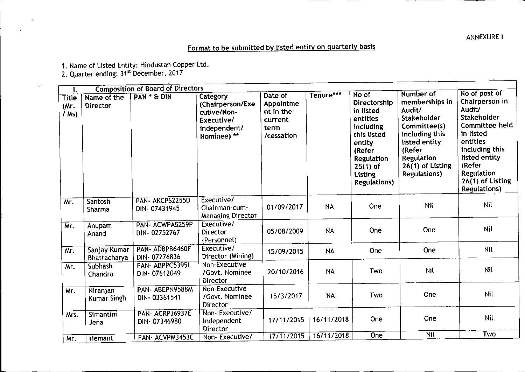**ANNEXURE I** 

## Format to be submitted by listed entity on quarterly basis

1. Name of Listed Entity: Hindustan Copper Ltd.

2. Quarter ending: 31<sup>st</sup> December, 2017

 $\overline{a}$ 

| 1.                              |                                | <b>Composition of Board of Directors</b> |                                                                                          |                                                                    |            |                                                                                                                                                                     |                                                                                                                                                                                           |                                                                                                                                                                                                            |
|---------------------------------|--------------------------------|------------------------------------------|------------------------------------------------------------------------------------------|--------------------------------------------------------------------|------------|---------------------------------------------------------------------------------------------------------------------------------------------------------------------|-------------------------------------------------------------------------------------------------------------------------------------------------------------------------------------------|------------------------------------------------------------------------------------------------------------------------------------------------------------------------------------------------------------|
| <b>Title</b><br>(Mr)<br>$/$ Ms) | Name of the<br><b>Director</b> | PAN * & DIN                              | Category<br>(Chairperson/Exe<br>cutive/Non-<br>Executive/<br>independent/<br>Nominee) ** | Date of<br>Appointme<br>nt in the<br>current<br>term<br>/cessation | Tenure***  | No of<br>Directorship<br>in listed<br>entities<br>including<br>this listed<br>entity<br>(Refer<br><b>Regulation</b><br>$25(1)$ of<br>Listing<br><b>Regulations)</b> | Number of<br>memberships in<br>Audit/<br><b>Stakeholder</b><br>Committee(s)<br>including this<br>listed entity<br>(Refer<br><b>Regulation</b><br>26(1) of Listing<br><b>Regulations</b> ) | No of post of<br>Chairperson in<br>Audit/<br>Stakeholder<br>Committee held<br>in listed<br>entities<br>including this<br>listed entity<br>(Refer<br>Regulation<br>26(1) of Listing<br><b>Regulations</b> ) |
| Mr.                             | Santosh<br>Sharma              | PAN- AKCPS2255D<br>DIN-07431945          | Executive/<br>Chairman-cum-<br><b>Managing Director</b>                                  | 01/09/2017                                                         | <b>NA</b>  | One                                                                                                                                                                 | Nil                                                                                                                                                                                       | <b>Nil</b>                                                                                                                                                                                                 |
| Mr.                             | Anupam<br>Anand                | PAN- ACWPA5259P<br>DIN-02752767          | Executive/<br>Director<br>(Personnel)                                                    | 05/08/2009                                                         | <b>NA</b>  | One                                                                                                                                                                 | One                                                                                                                                                                                       | Nil                                                                                                                                                                                                        |
| Mr.                             | Sanjay Kumar<br>Bhattacharya   | PAN-ADBPB6460F<br>DIN-07276836           | Executive/<br>Director (Mining)                                                          | 15/09/2015                                                         | <b>NA</b>  | One                                                                                                                                                                 | One                                                                                                                                                                                       | Nil                                                                                                                                                                                                        |
| Mr.                             | <b>Subhash</b><br>Chandra      | PAN-ABPPC5395L<br>DIN-07612049           | Non-Executive<br>/Govt. Nominee<br>Director                                              | 20/10/2016                                                         | <b>NA</b>  | Two                                                                                                                                                                 | <b>Nil</b>                                                                                                                                                                                | Nil                                                                                                                                                                                                        |
| Mr.                             | Niranjan<br>Kumar Singh        | PAN-ABEPN9588M<br>DIN-03361541           | Non-Executive<br>/Govt. Nominee<br>Director                                              | 15/3/2017                                                          | NA.        | Two                                                                                                                                                                 | One                                                                                                                                                                                       | Nil                                                                                                                                                                                                        |
| Mrs.                            | Simantini<br>Jena              | PAN- ACRPJ6937E<br>DIN-07346980          | Non-Executive/<br>Independent<br>Director                                                | 17/11/2015                                                         | 16/11/2018 | One                                                                                                                                                                 | One                                                                                                                                                                                       | Nil                                                                                                                                                                                                        |
| Mr.                             | Hemant                         | PAN-ACVPM3453C                           | Non-Executive/                                                                           | 17/11/2015                                                         | 16/11/2018 | <b>One</b>                                                                                                                                                          | <b>Nil</b>                                                                                                                                                                                | Two                                                                                                                                                                                                        |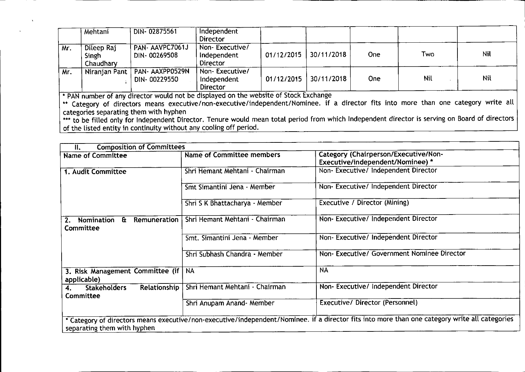|     | Mehtani                          | DIN-02875561                    | Independent<br><b>Director</b>                   |            |            |      |     |     |
|-----|----------------------------------|---------------------------------|--------------------------------------------------|------------|------------|------|-----|-----|
| Mr. | Dileep Raj<br>Singh<br>Chaudhary | PAN- AAVPC7061J<br>DIN-00269508 | Non-Executive/<br>Independent<br><b>Director</b> | 01/12/2015 | 30/11/2018 | One. | Two | Nil |
| Mr. | Niranjan Pant                    | PAN- AAXPP0529N<br>DIN-00229550 | Non-Executive/<br>Independent<br>Director        | 01/12/2015 | 30/11/2018 | One- | Nil | Nil |

• PAN number of any director would not be displayed on the website of Stock Exchange

•• Category of directors means executive/non-executive/independent/Nominee. if a director fits into more than one category write all categories separating them with hyphen

••• to be filled only for Independent Director. Tenure would mean total period from which Independent director is serving on Board of directors of the listed entity in continuity without any cooling off period.

| <b>Composition of Committees</b><br>Ш.                                                                                                                                        |                                |                                            |  |  |
|-------------------------------------------------------------------------------------------------------------------------------------------------------------------------------|--------------------------------|--------------------------------------------|--|--|
| <b>Name of Committee</b>                                                                                                                                                      | Name of Committee members      | Category (Chairperson/Executive/Non-       |  |  |
|                                                                                                                                                                               |                                | Executive/independent/Nominee) *           |  |  |
| 1. Audit Committee                                                                                                                                                            | Shri Hemant Mehtani - Chairman | Non- Executive/ Independent Director       |  |  |
|                                                                                                                                                                               | Smt Simantini Jena - Member    | Non-Executive/Independent Director         |  |  |
|                                                                                                                                                                               | Shri S K Bhattacharya - Member | Executive / Director (Mining)              |  |  |
| Remuneration<br>Nomination<br>$\mathbf{a}$<br>Committee                                                                                                                       | Shri Hemant Mehtani - Chairman | Non-Executive/Independent Director         |  |  |
|                                                                                                                                                                               | Smt. Simantini Jena - Member   | Non-Executive/Independent Director         |  |  |
|                                                                                                                                                                               | Shri Subhash Chandra - Member  | Non-Executive/ Government Nominee Director |  |  |
| 3. Risk Management Committee (if  <br>applicable)                                                                                                                             | <b>NA</b>                      | <b>NA</b>                                  |  |  |
| Relationship<br><b>Stakeholders</b><br><b>Committee</b>                                                                                                                       | Shri Hemant Mehtani - Chairman | Non-Executive/ Independent Director        |  |  |
|                                                                                                                                                                               | Shri Anupam Anand- Member      | Executive/ Director (Personnel)            |  |  |
| * Category of directors means executive/non-executive/independent/Nominee. if a director fits into more than one category write all categories<br>separating them with hyphen |                                |                                            |  |  |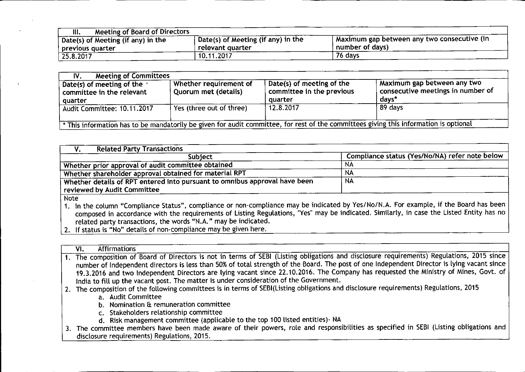| Meeting of Board of Directors<br>III. |                                                  |                                              |
|---------------------------------------|--------------------------------------------------|----------------------------------------------|
| Date(s) of Meeting (if any) in the    | $\frac{1}{2}$ Date(s) of Meeting (if any) in the | Maximum gap between any two consecutive (in- |
| previous quarter                      | relevant quarter                                 | number of days)                              |
| $\sqrt{25.8.2017}$                    | 10.11.2017                                       | 76 days                                      |

I

| <b>Meeting of Committees</b><br>IV.                                       |                                                       |                                                                   |                                                                                                                                       |
|---------------------------------------------------------------------------|-------------------------------------------------------|-------------------------------------------------------------------|---------------------------------------------------------------------------------------------------------------------------------------|
| Date(s) of meeting of the $\cdot$<br>committee in the relevant<br>quarter | Whether requirement of<br><b>Quorum met (details)</b> | Date(s) of meeting of the<br>committee in the previous<br>quarter | Maximum gap between any two<br>consecutive meetings in number of<br>days*                                                             |
| Audit Committee: 10.11.2017                                               | Yes (three out of three)                              | 12.8.2017                                                         | 89 days                                                                                                                               |
|                                                                           |                                                       |                                                                   | * This information has to be mandatorily be given for audit committee, for rest of the committees giving this information is optional |

| <b>Related Party Transactions</b>                                          |                                                |
|----------------------------------------------------------------------------|------------------------------------------------|
| Subiect                                                                    | Compliance status (Yes/No/NA) refer note below |
| Whether prior approval of audit committee obtained                         | NA                                             |
| Whether shareholder approval obtained for material RPT                     | NA                                             |
| Whether details of RPT entered into pursuant to omnibus approval have been | <b>NA</b>                                      |
| reviewed by Audit Committee                                                |                                                |
| المنقط القار                                                               |                                                |

Note

1. In the column "Compliance Status", compliance or non-compliance may be indicated by Yes/No/N.A. For example, if the Board has been composed in accordance with the requirements of Listing Regulations, "Yes" may be indicated. Similarly, in case the Listed Entity has no related party transactions, the words "N.A." may be indicated.

2. If status is "No" details of non-compliance may be given here.

| <b>Affirmations</b><br>VI.                                                                                                                  |
|---------------------------------------------------------------------------------------------------------------------------------------------|
| 1. The composition of Board of Directors is not in terms of SEBI (Listing obligations and disclosure requirements) Regulations, 2015 since  |
| number of Independent directors is less than 50% of total strength of the Board. The post of one Independent Director is lying vacant since |
| 19.3.2016 and two Independent Directors are lying vacant since 22.10.2016. The Company has requested the Ministry of Mines, Govt. of        |
| India to fill up the vacant post. The matter is under consideration of the Government.                                                      |
| 2. The composition of the following committees is in terms of SEBI(Listing obligations and disclosure requirements) Regulations, 2015       |
| a. Audit Committee                                                                                                                          |
| b. Nomination & remuneration committee                                                                                                      |
| c. Stakeholders relationship committee                                                                                                      |
| d. Risk management committee (applicable to the top 100 listed entities) - NA                                                               |
| 3. The committee members have been made aware of their powers, role and responsibilities as specified in SEBI (Listing obligations and      |
| disclosure requirements) Regulations, 2015.                                                                                                 |